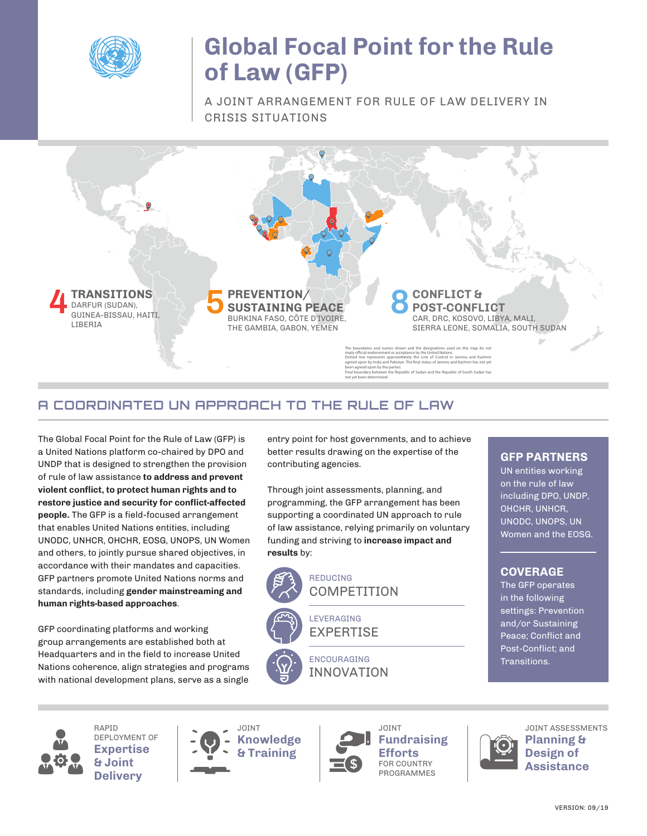

## **Global Focal Point for the Rule of Law (GFP)**

A JOINT ARRANGEMENT FOR RULE OF LAW DELIVERY IN CRISIS SITUATIONS



## **A COORDINATED UN APPROACH TO THE RULE OF LAW**

The Global Focal Point for the Rule of Law (GFP) is a United Nations platform co-chaired by DPO and UNDP that is designed to strengthen the provision of rule of law assistance **to address and prevent violent conflict, to protect human rights and to restore justice and security for conflict-affected people.** The GFP is a field-focused arrangement that enables United Nations entities, including UNODC, UNHCR, OHCHR, EOSG, UNOPS, UN Women and others, to jointly pursue shared objectives, in accordance with their mandates and capacities. GFP partners promote United Nations norms and standards, including **gender mainstreaming and human rights-based approaches**.

GFP coordinating platforms and working group arrangements are established both at Headquarters and in the field to increase United Nations coherence, align strategies and programs with national development plans, serve as a single

entry point for host governments, and to achieve better results drawing on the expertise of the contributing agencies.

Through joint assessments, planning, and programming, the GFP arrangement has been supporting a coordinated UN approach to rule of law assistance, relying primarily on voluntary funding and striving to **increase impact and results** by:



REDUCING **COMPETITION** 

LEVERAGING EXPERTISE

> ENCOURAGING INNOVATION

### **GFP PARTNERS**

UN entities working on the rule of law including DPO, UNDP, OHCHR, UNHCR, UNODC, UNOPS, UN Women and the EOSG.

### **COVERAGE**

The GFP operates in the following settings: Prevention and/or Sustaining Peace; Conflict and Post-Conflict; and Transitions.



RAPID DEPLOYMENT OF **Expertise & Joint Delivery**





JOINT **Fundraising Efforts** FOR COUNTRY PROGRAMMES



JOINT ASSESSMENTS **Planning & Design of Assistance**